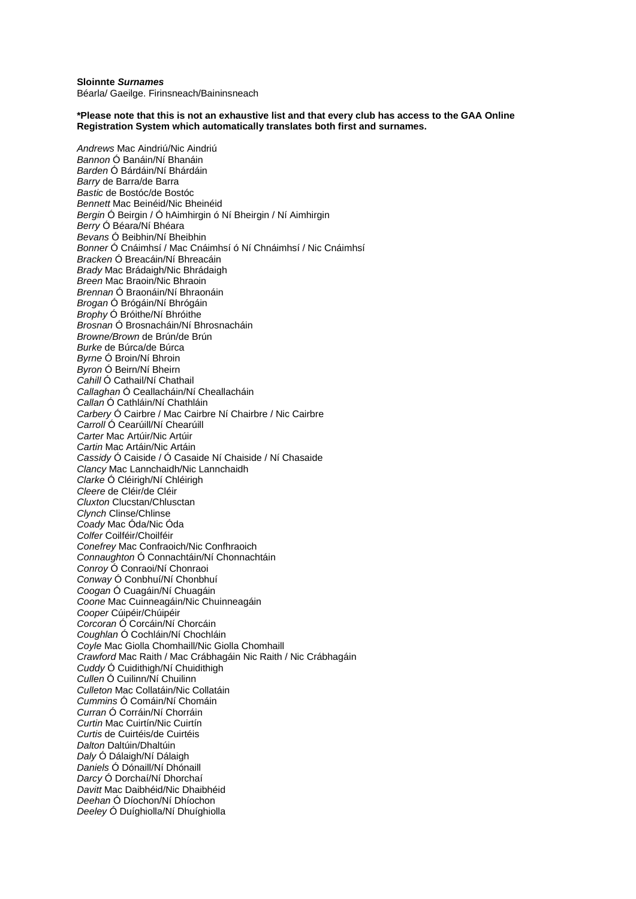**Sloinnte** *Surnames* Béarla/ Gaeilge. Firinsneach/Baininsneach

**\*Please note that this is not an exhaustive list and that every club has access to the GAA Online Registration System which automatically translates both first and surnames.**

*Andrews* Mac Aindriú/Nic Aindriú *Bannon* Ó Banáin/Ní Bhanáin *Barden* Ó Bárdáin/Ní Bhárdáin *Barry* de Barra/de Barra *Bastic* de Bostóc/de Bostóc *Bennett* Mac Beinéid/Nic Bheinéid *Bergin* Ó Beirgin / Ó hAimhirgin ó Ní Bheirgin / Ní Aimhirgin *Berry* Ó Béara/Ní Bhéara *Bevans* Ó Beibhin/Ní Bheibhin *Bonner* Ó Cnáimhsí / Mac Cnáimhsí ó Ní Chnáimhsí / Nic Cnáimhsí *Bracken* Ó Breacáin/Ní Bhreacáin *Brady* Mac Brádaigh/Nic Bhrádaigh *Breen* Mac Braoin/Nic Bhraoin *Brennan* Ó Braonáin/Ní Bhraonáin *Brogan* Ó Brógáin/Ní Bhrógáin *Brophy* Ó Bróithe/Ní Bhróithe *Brosnan* Ó Brosnacháin/Ní Bhrosnacháin *Browne/Brown* de Brún/de Brún *Burke* de Búrca/de Búrca *Byrne* Ó Broin/Ní Bhroin *Byron* Ó Beirn/Ní Bheirn *Cahill* Ó Cathail/Ní Chathail *Callaghan* Ó Ceallacháin/Ní Cheallacháin *Callan* Ó Cathláin/Ní Chathláin *Carbery* Ó Cairbre / Mac Cairbre Ní Chairbre / Nic Cairbre *Carroll* Ó Cearúill/Ní Chearúill *Carter* Mac Artúir/Nic Artúir *Cartin* Mac Artáin/Nic Artáin *Cassidy* Ó Caiside / Ó Casaide Ní Chaiside / Ní Chasaide *Clancy* Mac Lannchaidh/Nic Lannchaidh *Clarke* Ó Cléirigh/Ní Chléirigh *Cleere* de Cléir/de Cléir *Cluxton* Clucstan/Chlusctan *Clynch* Clinse/Chlinse *Coady* Mac Óda/Nic Óda *Colfer* Coilféir/Choilféir *Conefrey* Mac Confraoich/Nic Confhraoich *Connaughton* Ó Connachtáin/Ní Chonnachtáin *Conroy* Ó Conraoi/Ní Chonraoi *Conway* Ó Conbhuí/Ní Chonbhuí *Coogan* Ó Cuagáin/Ní Chuagáin *Coone* Mac Cuinneagáin/Nic Chuinneagáin *Cooper* Cúipéir/Chúipéir *Corcoran* Ó Corcáin/Ní Chorcáin *Coughlan* Ó Cochláin/Ní Chochláin *Coyle* Mac Giolla Chomhaill/Nic Giolla Chomhaill *Crawford* Mac Raith / Mac Crábhagáin Nic Raith / Nic Crábhagáin *Cuddy* Ó Cuidithigh/Ní Chuidithigh *Cullen* Ó Cuilinn/Ní Chuilinn *Culleton* Mac Collatáin/Nic Collatáin *Cummins* Ó Comáin/Ní Chomáin *Curran* Ó Corráin/Ní Chorráin *Curtin* Mac Cuirtín/Nic Cuirtín *Curtis* de Cuirtéis/de Cuirtéis *Dalton* Daltúin/Dhaltúin *Daly* Ó Dálaigh/Ní Dálaigh *Daniels* Ó Dónaill/Ní Dhónaill *Darcy* Ó Dorchaí/Ní Dhorchaí *Davitt* Mac Daibhéid/Nic Dhaibhéid *Deehan* Ó Díochon/Ní Dhíochon *Deeley* Ó Duíghiolla/Ní Dhuíghiolla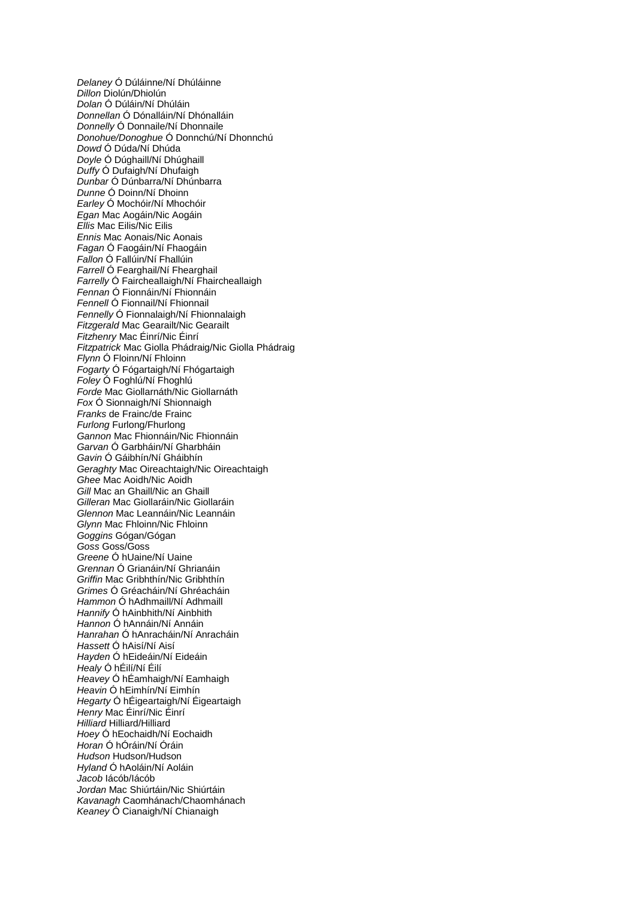*Delaney* Ó Dúláinne/Ní Dhúláinne *Dillon* Diolún/Dhiolún *Dolan* Ó Dúláin/Ní Dhúláin *Donnellan* Ó Dónalláin/Ní Dhónalláin *Donnelly* Ó Donnaile/Ní Dhonnaile *Donohue/Donoghue* Ó Donnchú/Ní Dhonnchú *Dowd* Ó Dúda/Ní Dhúda *Doyle* Ó Dúghaill/Ní Dhúghaill *Duffy* Ó Dufaigh/Ní Dhufaigh *Dunbar* Ó Dúnbarra/Ní Dhúnbarra *Dunne* Ó Doinn/Ní Dhoinn *Earley* Ó Mochóir/Ní Mhochóir *Egan* Mac Aogáin/Nic Aogáin *Ellis* Mac Eilis/Nic Eilis *Ennis* Mac Aonais/Nic Aonais *Fagan* Ó Faogáin/Ní Fhaogáin *Fallon* Ó Fallúin/Ní Fhallúin *Farrell* Ó Fearghail/Ní Fhearghail *Farrelly* Ó Faircheallaigh/Ní Fhaircheallaigh *Fennan* Ó Fionnáin/Ní Fhionnáin *Fennell* Ó Fionnail/Ní Fhionnail *Fennelly* Ó Fionnalaigh/Ní Fhionnalaigh *Fitzgerald* Mac Gearailt/Nic Gearailt *Fitzhenry* Mac Éinrí/Nic Éinrí *Fitzpatrick* Mac Giolla Phádraig/Nic Giolla Phádraig *Flynn* Ó Floinn/Ní Fhloinn *Fogarty* Ó Fógartaigh/Ní Fhógartaigh *Foley* Ó Foghlú/Ní Fhoghlú *Forde* Mac Giollarnáth/Nic Giollarnáth *Fox* Ó Sionnaigh/Ní Shionnaigh *Franks* de Frainc/de Frainc *Furlong* Furlong/Fhurlong *Gannon* Mac Fhionnáin/Nic Fhionnáin *Garvan* Ó Garbháin/Ní Gharbháin *Gavin* Ó Gáibhín/Ní Gháibhín *Geraghty* Mac Oireachtaigh/Nic Oireachtaigh *Ghee* Mac Aoidh/Nic Aoidh *Gill* Mac an Ghaill/Nic an Ghaill *Gilleran* Mac Giollaráin/Nic Giollaráin *Glennon* Mac Leannáin/Nic Leannáin *Glynn* Mac Fhloinn/Nic Fhloinn *Goggins* Gógan/Gógan *Goss* Goss/Goss *Greene* Ó hUaine/Ní Uaine *Grennan* Ó Grianáin/Ní Ghrianáin *Griffin* Mac Gribhthín/Nic Gribhthín *Grimes* Ó Gréacháin/Ní Ghréacháin *Hammon* Ó hAdhmaill/Ní Adhmaill *Hannify* Ó hAinbhith/Ní Ainbhith *Hannon* Ó hAnnáin/Ní Annáin *Hanrahan* Ó hAnracháin/Ní Anracháin *Hassett* Ó hAisí/Ní Aisí *Hayden* Ó hEideáin/Ní Eideáin *Healy* Ó hÉilí/Ní Éilí *Heavey* Ó hÉamhaigh/Ní Eamhaigh *Heavin* Ó hEimhín/Ní Eimhín *Hegarty* Ó hÉigeartaigh/Ní Éigeartaigh *Henry* Mac Éinrí/Nic Éinrí *Hilliard* Hilliard/Hilliard *Hoey* Ó hEochaidh/Ní Eochaidh *Horan* Ó hÓráin/Ní Óráin *Hudson* Hudson/Hudson *Hyland* Ó hAoláin/Ní Aoláin *Jacob* Iácób/Iácób *Jordan* Mac Shiúrtáin/Nic Shiúrtáin *Kavanagh* Caomhánach/Chaomhánach *Keaney* Ó Cianaigh/Ní Chianaigh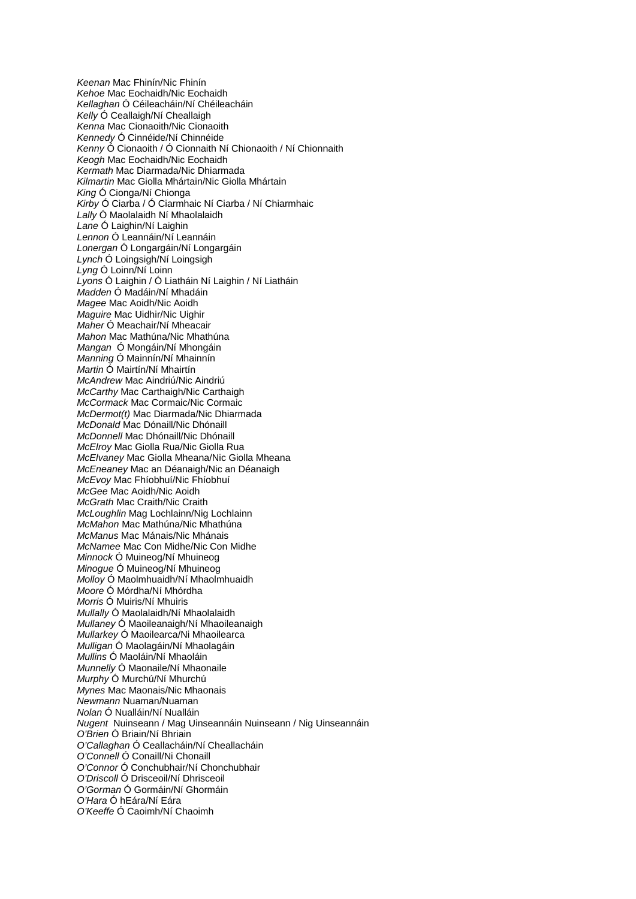*Keenan* Mac Fhinín/Nic Fhinín *Kehoe* Mac Eochaidh/Nic Eochaidh *Kellaghan* Ó Céileacháin/Ní Chéileacháin *Kelly* Ó Ceallaigh/Ní Cheallaigh *Kenna* Mac Cionaoith/Nic Cionaoith *Kennedy* Ó Cinnéide/Ní Chinnéide *Kenny* Ó Cionaoith / Ó Cionnaith Ní Chionaoith / Ní Chionnaith *Keogh* Mac Eochaidh/Nic Eochaidh *Kermath* Mac Diarmada/Nic Dhiarmada *Kilmartin* Mac Giolla Mhártain/Nic Giolla Mhártain *King* Ó Cionga/Ní Chionga *Kirby* Ó Ciarba / Ó Ciarmhaic Ní Ciarba / Ní Chiarmhaic *Lally* Ó Maolalaidh Ní Mhaolalaidh *Lane* Ó Laighin/Ní Laighin *Lennon* Ó Leannáin/Ní Leannáin *Lonergan* Ó Longargáin/Ní Longargáin *Lynch* Ó Loingsigh/Ní Loingsigh *Lyng* Ó Loinn/Ní Loinn *Lyons* Ó Laighin / Ó Liatháin Ní Laighin / Ní Liatháin *Madden* Ó Madáin/Ní Mhadáin *Magee* Mac Aoidh/Nic Aoidh *Maguire* Mac Uidhir/Nic Uighir *Maher* Ó Meachair/Ní Mheacair *Mahon* Mac Mathúna/Nic Mhathúna *Mangan* Ó Mongáin/Ní Mhongáin *Manning* Ó Mainnín/Ní Mhainnín *Martin* Ó Mairtín/Ní Mhairtín *McAndrew* Mac Aindriú/Nic Aindriú *McCarthy* Mac Carthaigh/Nic Carthaigh *McCormack* Mac Cormaic/Nic Cormaic *McDermot(t)* Mac Diarmada/Nic Dhiarmada *McDonald* Mac Dónaill/Nic Dhónaill *McDonnell* Mac Dhónaill/Nic Dhónaill *McElroy* Mac Giolla Rua/Nic Giolla Rua *McElvaney* Mac Giolla Mheana/Nic Giolla Mheana *McEneaney* Mac an Déanaigh/Nic an Déanaigh *McEvoy* Mac Fhíobhuí/Nic Fhíobhuí *McGee* Mac Aoidh/Nic Aoidh *McGrath* Mac Craith/Nic Craith *McLoughlin* Mag Lochlainn/Nig Lochlainn *McMahon* Mac Mathúna/Nic Mhathúna *McManus* Mac Mánais/Nic Mhánais *McNamee* Mac Con Midhe/Nic Con Midhe *Minnock* Ó Muineog/Ní Mhuineog *Minogue* Ó Muineog/Ní Mhuineog *Molloy* Ó Maolmhuaidh/Ní Mhaolmhuaidh *Moore* Ó Mórdha/Ní Mhórdha *Morris* Ó Muiris/Ní Mhuiris *Mullally* Ó Maolalaidh/Ní Mhaolalaidh *Mullaney* Ó Maoileanaigh/Ní Mhaoileanaigh *Mullarkey* Ó Maoilearca/Ni Mhaoilearca *Mulligan* Ó Maolagáin/Ní Mhaolagáin *Mullins* Ó Maoláin/Ní Mhaoláin *Munnelly* Ó Maonaile/Ní Mhaonaile *Murphy* Ó Murchú/Ní Mhurchú *Mynes* Mac Maonais/Nic Mhaonais *Newmann* Nuaman/Nuaman *Nolan* Ó Nualláin/Ní Nualláin *Nugent* Nuinseann / Mag Uinseannáin Nuinseann / Nig Uinseannáin *O'Brien* Ó Briain/Ní Bhriain *O'Callaghan* Ó Ceallacháin/Ní Cheallacháin *O'Connell* Ó Conaill/Ni Chonaill *O'Connor* Ó Conchubhair/Ní Chonchubhair *O'Driscoll* Ó Drisceoil/Ní Dhrisceoil *O'Gorman* Ó Gormáin/Ní Ghormáin *O'Hara* Ó hEára/Ní Eára *O'Keeffe* Ó Caoimh/Ní Chaoimh